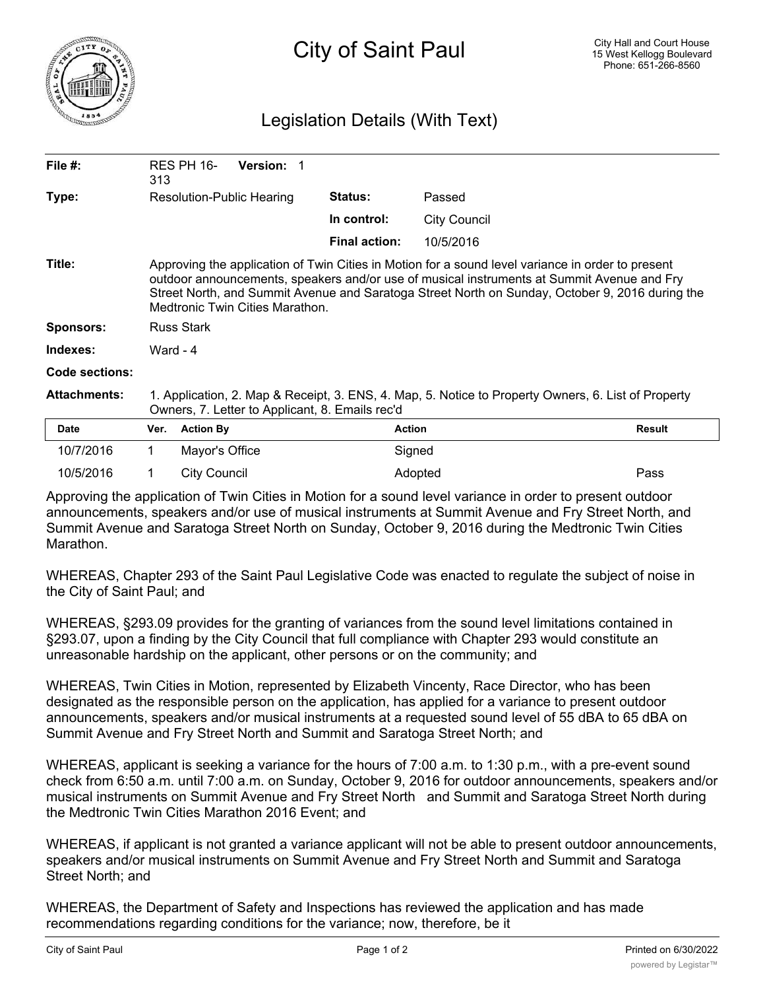

## Legislation Details (With Text)

| File $#$ :          | 313                                                                                                                                                                                                                                                                                                                                   | RES PH 16-          | <b>Version: 1</b> |                      |                     |               |
|---------------------|---------------------------------------------------------------------------------------------------------------------------------------------------------------------------------------------------------------------------------------------------------------------------------------------------------------------------------------|---------------------|-------------------|----------------------|---------------------|---------------|
| Type:               | Resolution-Public Hearing                                                                                                                                                                                                                                                                                                             |                     |                   | <b>Status:</b>       | Passed              |               |
|                     |                                                                                                                                                                                                                                                                                                                                       |                     |                   | In control:          | <b>City Council</b> |               |
|                     |                                                                                                                                                                                                                                                                                                                                       |                     |                   | <b>Final action:</b> | 10/5/2016           |               |
| Title:              | Approving the application of Twin Cities in Motion for a sound level variance in order to present<br>outdoor announcements, speakers and/or use of musical instruments at Summit Avenue and Fry<br>Street North, and Summit Avenue and Saratoga Street North on Sunday, October 9, 2016 during the<br>Medtronic Twin Cities Marathon. |                     |                   |                      |                     |               |
| <b>Sponsors:</b>    | <b>Russ Stark</b>                                                                                                                                                                                                                                                                                                                     |                     |                   |                      |                     |               |
| Indexes:            | Ward - $4$                                                                                                                                                                                                                                                                                                                            |                     |                   |                      |                     |               |
| Code sections:      |                                                                                                                                                                                                                                                                                                                                       |                     |                   |                      |                     |               |
| <b>Attachments:</b> | 1. Application, 2. Map & Receipt, 3. ENS, 4. Map, 5. Notice to Property Owners, 6. List of Property<br>Owners, 7. Letter to Applicant, 8. Emails rec'd                                                                                                                                                                                |                     |                   |                      |                     |               |
| <b>Date</b>         | Ver.                                                                                                                                                                                                                                                                                                                                  | <b>Action By</b>    |                   | <b>Action</b>        |                     | <b>Result</b> |
| 10/7/2016           |                                                                                                                                                                                                                                                                                                                                       | Mayor's Office      |                   |                      | Signed              |               |
| 10/5/2016           |                                                                                                                                                                                                                                                                                                                                       | <b>City Council</b> |                   |                      | Adopted             | Pass          |

Approving the application of Twin Cities in Motion for a sound level variance in order to present outdoor announcements, speakers and/or use of musical instruments at Summit Avenue and Fry Street North, and Summit Avenue and Saratoga Street North on Sunday, October 9, 2016 during the Medtronic Twin Cities Marathon.

WHEREAS, Chapter 293 of the Saint Paul Legislative Code was enacted to regulate the subject of noise in the City of Saint Paul; and

WHEREAS, §293.09 provides for the granting of variances from the sound level limitations contained in §293.07, upon a finding by the City Council that full compliance with Chapter 293 would constitute an unreasonable hardship on the applicant, other persons or on the community; and

WHEREAS, Twin Cities in Motion, represented by Elizabeth Vincenty, Race Director, who has been designated as the responsible person on the application, has applied for a variance to present outdoor announcements, speakers and/or musical instruments at a requested sound level of 55 dBA to 65 dBA on Summit Avenue and Fry Street North and Summit and Saratoga Street North; and

WHEREAS, applicant is seeking a variance for the hours of 7:00 a.m. to 1:30 p.m., with a pre-event sound check from 6:50 a.m. until 7:00 a.m. on Sunday, October 9, 2016 for outdoor announcements, speakers and/or musical instruments on Summit Avenue and Fry Street North and Summit and Saratoga Street North during the Medtronic Twin Cities Marathon 2016 Event; and

WHEREAS, if applicant is not granted a variance applicant will not be able to present outdoor announcements, speakers and/or musical instruments on Summit Avenue and Fry Street North and Summit and Saratoga Street North; and

WHEREAS, the Department of Safety and Inspections has reviewed the application and has made recommendations regarding conditions for the variance; now, therefore, be it